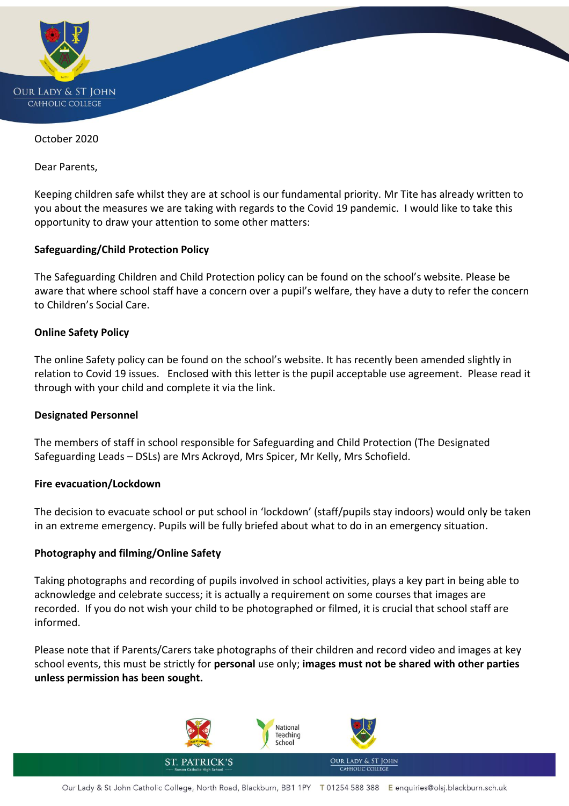

October 2020

Dear Parents,

Keeping children safe whilst they are at school is our fundamental priority. Mr Tite has already written to you about the measures we are taking with regards to the Covid 19 pandemic. I would like to take this opportunity to draw your attention to some other matters:

## **Safeguarding/Child Protection Policy**

The Safeguarding Children and Child Protection policy can be found on the school's website. Please be aware that where school staff have a concern over a pupil's welfare, they have a duty to refer the concern to Children's Social Care.

#### **Online Safety Policy**

The online Safety policy can be found on the school's website. It has recently been amended slightly in relation to Covid 19 issues. Enclosed with this letter is the pupil acceptable use agreement. Please read it through with your child and complete it via the link.

#### **Designated Personnel**

The members of staff in school responsible for Safeguarding and Child Protection (The Designated Safeguarding Leads – DSLs) are Mrs Ackroyd, Mrs Spicer, Mr Kelly, Mrs Schofield.

#### **Fire evacuation/Lockdown**

The decision to evacuate school or put school in 'lockdown' (staff/pupils stay indoors) would only be taken in an extreme emergency. Pupils will be fully briefed about what to do in an emergency situation.

#### **Photography and filming/Online Safety**

Taking photographs and recording of pupils involved in school activities, plays a key part in being able to acknowledge and celebrate success; it is actually a requirement on some courses that images are recorded. If you do not wish your child to be photographed or filmed, it is crucial that school staff are informed.

Please note that if Parents/Carers take photographs of their children and record video and images at key school events, this must be strictly for **personal** use only; **images must not be shared with other parties unless permission has been sought.**